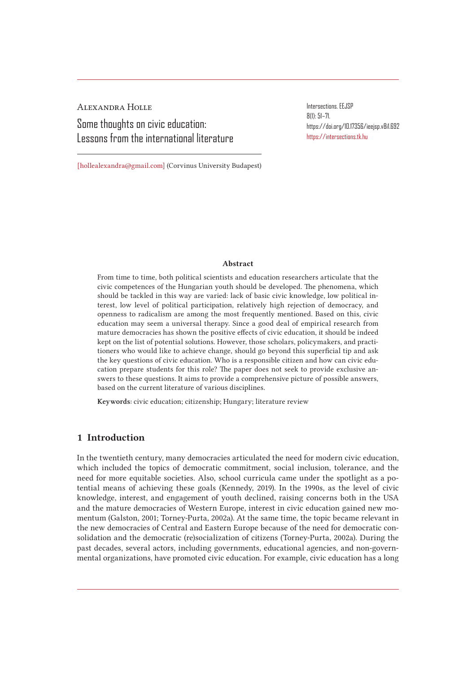Alexandra Holle Some thoughts on civic education: Lessons from the international literature Intersections. EEJSP 8(1): 51–71. https://doi.org/10.17356/ieejsp.v8i1.692 https://intersections.tk.hu

[hollealexandra@gmail.com] (Corvinus University Budapest)

#### Abstract

From time to time, both political scientists and education researchers articulate that the civic competences of the Hungarian youth should be developed. The phenomena, which should be tackled in this way are varied: lack of basic civic knowledge, low political interest, low level of political participation, relatively high rejection of democracy, and openness to radicalism are among the most frequently mentioned. Based on this, civic education may seem a universal therapy. Since a good deal of empirical research from mature democracies has shown the positive effects of civic education, it should be indeed kept on the list of potential solutions. However, those scholars, policymakers, and practitioners who would like to achieve change, should go beyond this superficial tip and ask the key questions of civic education. Who is a responsible citizen and how can civic education prepare students for this role? The paper does not seek to provide exclusive answers to these questions. It aims to provide a comprehensive picture of possible answers, based on the current literature of various disciplines.

Keywords: civic education; citizenship; Hungary; literature review

## 1 Introduction

In the twentieth century, many democracies articulated the need for modern civic education, which included the topics of democratic commitment, social inclusion, tolerance, and the need for more equitable societies. Also, school curricula came under the spotlight as a potential means of achieving these goals (Kennedy, 2019). In the 1990s, as the level of civic knowledge, interest, and engagement of youth declined, raising concerns both in the USA and the mature democracies of Western Europe, interest in civic education gained new momentum (Galston, 2001; Torney-Purta, 2002a). At the same time, the topic became relevant in the new democracies of Central and Eastern Europe because of the need for democratic consolidation and the democratic (re)socialization of citizens (Torney-Purta, 2002a). During the past decades, several actors, including governments, educational agencies, and non-governmental organizations, have promoted civic education. For example, civic education has a long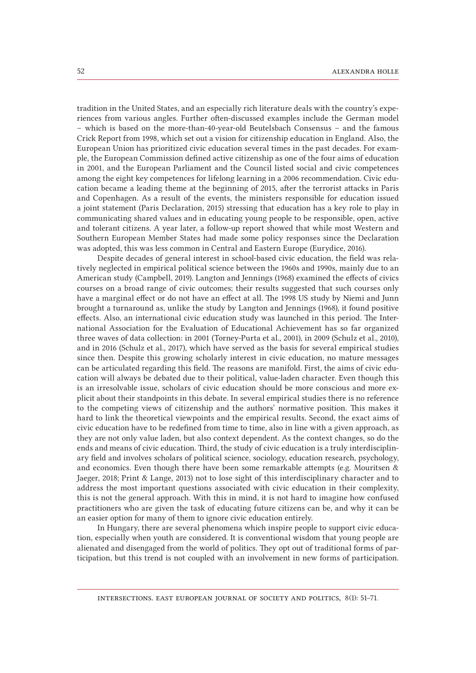tradition in the United States, and an especially rich literature deals with the country's experiences from various angles. Further often-discussed examples include the German model – which is based on the more-than-40-year-old Beutelsbach Consensus – and the famous Crick Report from 1998, which set out a vision for citizenship education in England. Also, the European Union has prioritized civic education several times in the past decades. For example, the European Commission defined active citizenship as one of the four aims of education in 2001, and the European Parliament and the Council listed social and civic competences among the eight key competences for lifelong learning in a 2006 recommendation. Civic education became a leading theme at the beginning of 2015, after the terrorist attacks in Paris and Copenhagen. As a result of the events, the ministers responsible for education issued a joint statement (Paris Declaration, 2015) stressing that education has a key role to play in communicating shared values and in educating young people to be responsible, open, active and tolerant citizens. A year later, a follow-up report showed that while most Western and Southern European Member States had made some policy responses since the Declaration was adopted, this was less common in Central and Eastern Europe (Eurydice, 2016).

Despite decades of general interest in school-based civic education, the field was relatively neglected in empirical political science between the 1960s and 1990s, mainly due to an American study (Campbell, 2019). Langton and Jennings (1968) examined the effects of civics courses on a broad range of civic outcomes; their results suggested that such courses only have a marginal effect or do not have an effect at all. The 1998 US study by Niemi and Junn brought a turnaround as, unlike the study by Langton and Jennings (1968), it found positive effects. Also, an international civic education study was launched in this period. The International Association for the Evaluation of Educational Achievement has so far organized three waves of data collection: in 2001 (Torney-Purta et al., 2001), in 2009 (Schulz et al., 2010), and in 2016 (Schulz et al., 2017), which have served as the basis for several empirical studies since then. Despite this growing scholarly interest in civic education, no mature messages can be articulated regarding this field. The reasons are manifold. First, the aims of civic education will always be debated due to their political, value-laden character. Even though this is an irresolvable issue, scholars of civic education should be more conscious and more explicit about their standpoints in this debate. In several empirical studies there is no reference to the competing views of citizenship and the authors' normative position. This makes it hard to link the theoretical viewpoints and the empirical results. Second, the exact aims of civic education have to be redefined from time to time, also in line with a given approach, as they are not only value laden, but also context dependent. As the context changes, so do the ends and means of civic education. Third, the study of civic education is a truly interdisciplinary field and involves scholars of political science, sociology, education research, psychology, and economics. Even though there have been some remarkable attempts (e.g. Mouritsen & Jaeger, 2018; Print & Lange, 2013) not to lose sight of this interdisciplinary character and to address the most important questions associated with civic education in their complexity, this is not the general approach. With this in mind, it is not hard to imagine how confused practitioners who are given the task of educating future citizens can be, and why it can be an easier option for many of them to ignore civic education entirely.

In Hungary, there are several phenomena which inspire people to support civic education, especially when youth are considered. It is conventional wisdom that young people are alienated and disengaged from the world of politics. They opt out of traditional forms of participation, but this trend is not coupled with an involvement in new forms of participation.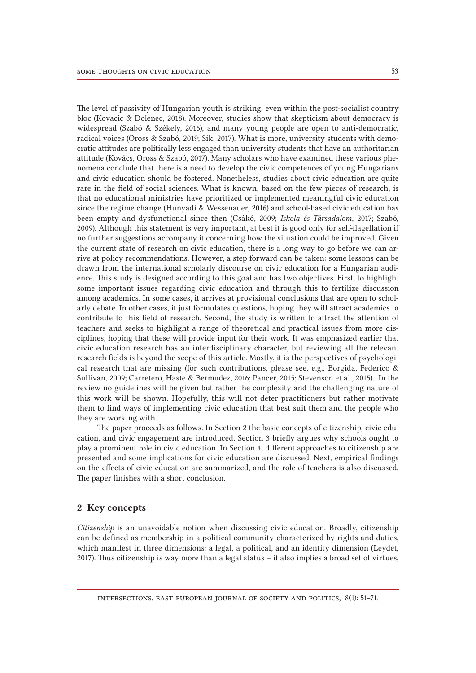The level of passivity of Hungarian youth is striking, even within the post-socialist country bloc (Kovacic & Dolenec, 2018). Moreover, studies show that skepticism about democracy is widespread (Szabó & Székely, 2016), and many young people are open to anti-democratic, radical voices (Oross & Szabó, 2019; Sik, 2017). What is more, university students with democratic attitudes are politically less engaged than university students that have an authoritarian attitude (Kovács, Oross & Szabó, 2017). Many scholars who have examined these various phenomena conclude that there is a need to develop the civic competences of young Hungarians and civic education should be fostered. Nonetheless, studies about civic education are quite rare in the field of social sciences. What is known, based on the few pieces of research, is that no educational ministries have prioritized or implemented meaningful civic education since the regime change (Hunyadi & Wessenauer, 2016) and school-based civic education has been empty and dysfunctional since then (Csákó, 2009; *Iskola és Társadalom*, 2017; Szabó, 2009). Although this statement is very important, at best it is good only for self-flagellation if no further suggestions accompany it concerning how the situation could be improved. Given the current state of research on civic education, there is a long way to go before we can arrive at policy recommendations. However, a step forward can be taken: some lessons can be drawn from the international scholarly discourse on civic education for a Hungarian audience. This study is designed according to this goal and has two objectives. First, to highlight some important issues regarding civic education and through this to fertilize discussion among academics. In some cases, it arrives at provisional conclusions that are open to scholarly debate. In other cases, it just formulates questions, hoping they will attract academics to contribute to this field of research. Second, the study is written to attract the attention of teachers and seeks to highlight a range of theoretical and practical issues from more disciplines, hoping that these will provide input for their work. It was emphasized earlier that civic education research has an interdisciplinary character, but reviewing all the relevant research fields is beyond the scope of this article. Mostly, it is the perspectives of psychological research that are missing (for such contributions, please see, e.g., Borgida, Federico & Sullivan, 2009; Carretero, Haste & Bermudez, 2016; Pancer, 2015; Stevenson et al., 2015). In the review no guidelines will be given but rather the complexity and the challenging nature of this work will be shown. Hopefully, this will not deter practitioners but rather motivate them to find ways of implementing civic education that best suit them and the people who they are working with.

The paper proceeds as follows. In Section 2 the basic concepts of citizenship, civic education, and civic engagement are introduced. Section 3 briefly argues why schools ought to play a prominent role in civic education. In Section 4, different approaches to citizenship are presented and some implications for civic education are discussed. Next, empirical findings on the effects of civic education are summarized, and the role of teachers is also discussed. The paper finishes with a short conclusion.

### 2 Key concepts

*Citizenship* is an unavoidable notion when discussing civic education. Broadly, citizenship can be defined as membership in a political community characterized by rights and duties, which manifest in three dimensions: a legal, a political, and an identity dimension (Leydet, 2017). Thus citizenship is way more than a legal status – it also implies a broad set of virtues,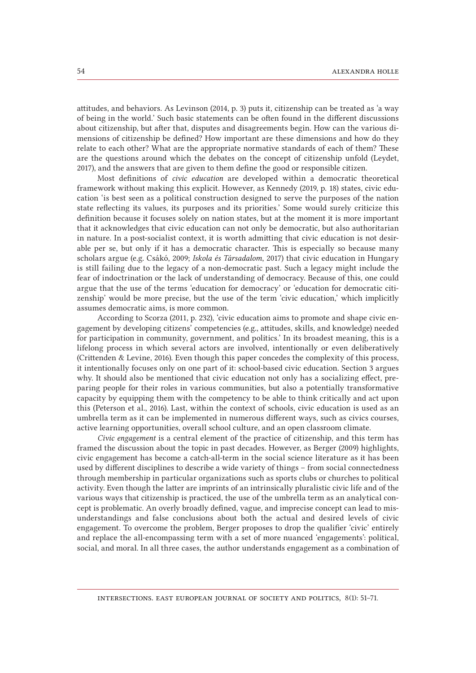attitudes, and behaviors. As Levinson (2014, p. 3) puts it, citizenship can be treated as 'a way of being in the world.' Such basic statements can be often found in the different discussions about citizenship, but after that, disputes and disagreements begin. How can the various dimensions of citizenship be defined? How important are these dimensions and how do they relate to each other? What are the appropriate normative standards of each of them? These are the questions around which the debates on the concept of citizenship unfold (Leydet, 2017), and the answers that are given to them define the good or responsible citizen.

Most definitions of *civic education* are developed within a democratic theoretical framework without making this explicit. However, as Kennedy (2019, p. 18) states, civic education 'is best seen as a political construction designed to serve the purposes of the nation state reflecting its values, its purposes and its priorities.' Some would surely criticize this definition because it focuses solely on nation states, but at the moment it is more important that it acknowledges that civic education can not only be democratic, but also authoritarian in nature. In a post-socialist context, it is worth admitting that civic education is not desirable per se, but only if it has a democratic character. This is especially so because many scholars argue (e.g. Csákó, 2009; *Iskola és Társadalom*, 2017) that civic education in Hungary is still failing due to the legacy of a non-democratic past. Such a legacy might include the fear of indoctrination or the lack of understanding of democracy. Because of this, one could argue that the use of the terms 'education for democracy' or 'education for democratic citizenship' would be more precise, but the use of the term 'civic education,' which implicitly assumes democratic aims, is more common.

According to Scorza (2011, p. 232), 'civic education aims to promote and shape civic engagement by developing citizens' competencies (e.g., attitudes, skills, and knowledge) needed for participation in community, government, and politics.' In its broadest meaning, this is a lifelong process in which several actors are involved, intentionally or even deliberatively (Crittenden & Levine, 2016). Even though this paper concedes the complexity of this process, it intentionally focuses only on one part of it: school-based civic education. Section 3 argues why. It should also be mentioned that civic education not only has a socializing effect, preparing people for their roles in various communities, but also a potentially transformative capacity by equipping them with the competency to be able to think critically and act upon this (Peterson et al., 2016). Last, within the context of schools, civic education is used as an umbrella term as it can be implemented in numerous different ways, such as civics courses, active learning opportunities, overall school culture, and an open classroom climate.

*Civic engagement* is a central element of the practice of citizenship, and this term has framed the discussion about the topic in past decades. However, as Berger (2009) highlights, civic engagement has become a catch-all-term in the social science literature as it has been used by different disciplines to describe a wide variety of things – from social connectedness through membership in particular organizations such as sports clubs or churches to political activity. Even though the latter are imprints of an intrinsically pluralistic civic life and of the various ways that citizenship is practiced, the use of the umbrella term as an analytical concept is problematic. An overly broadly defined, vague, and imprecise concept can lead to misunderstandings and false conclusions about both the actual and desired levels of civic engagement. To overcome the problem, Berger proposes to drop the qualifier 'civic' entirely and replace the all-encompassing term with a set of more nuanced 'engagements': political, social, and moral. In all three cases, the author understands engagement as a combination of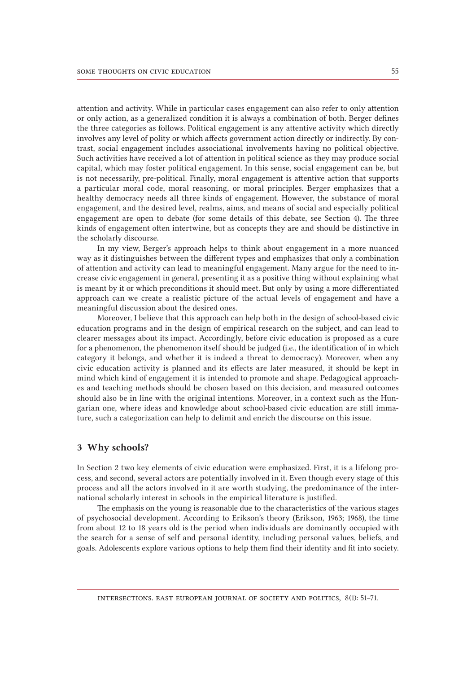attention and activity. While in particular cases engagement can also refer to only attention or only action, as a generalized condition it is always a combination of both. Berger defines the three categories as follows. Political engagement is any attentive activity which directly involves any level of polity or which affects government action directly or indirectly. By contrast, social engagement includes associational involvements having no political objective. Such activities have received a lot of attention in political science as they may produce social capital, which may foster political engagement. In this sense, social engagement can be, but is not necessarily, pre-political. Finally, moral engagement is attentive action that supports a particular moral code, moral reasoning, or moral principles. Berger emphasizes that a healthy democracy needs all three kinds of engagement. However, the substance of moral engagement, and the desired level, realms, aims, and means of social and especially political engagement are open to debate (for some details of this debate, see Section 4). The three kinds of engagement often intertwine, but as concepts they are and should be distinctive in the scholarly discourse.

In my view, Berger's approach helps to think about engagement in a more nuanced way as it distinguishes between the different types and emphasizes that only a combination of attention and activity can lead to meaningful engagement. Many argue for the need to increase civic engagement in general, presenting it as a positive thing without explaining what is meant by it or which preconditions it should meet. But only by using a more differentiated approach can we create a realistic picture of the actual levels of engagement and have a meaningful discussion about the desired ones.

Moreover, I believe that this approach can help both in the design of school-based civic education programs and in the design of empirical research on the subject, and can lead to clearer messages about its impact. Accordingly, before civic education is proposed as a cure for a phenomenon, the phenomenon itself should be judged (i.e., the identification of in which category it belongs, and whether it is indeed a threat to democracy). Moreover, when any civic education activity is planned and its effects are later measured, it should be kept in mind which kind of engagement it is intended to promote and shape. Pedagogical approaches and teaching methods should be chosen based on this decision, and measured outcomes should also be in line with the original intentions. Moreover, in a context such as the Hungarian one, where ideas and knowledge about school-based civic education are still immature, such a categorization can help to delimit and enrich the discourse on this issue.

#### 3 Why schools?

In Section 2 two key elements of civic education were emphasized. First, it is a lifelong process, and second, several actors are potentially involved in it. Even though every stage of this process and all the actors involved in it are worth studying, the predominance of the international scholarly interest in schools in the empirical literature is justified.

The emphasis on the young is reasonable due to the characteristics of the various stages of psychosocial development. According to Erikson's theory (Erikson, 1963; 1968), the time from about 12 to 18 years old is the period when individuals are dominantly occupied with the search for a sense of self and personal identity, including personal values, beliefs, and goals. Adolescents explore various options to help them find their identity and fit into society.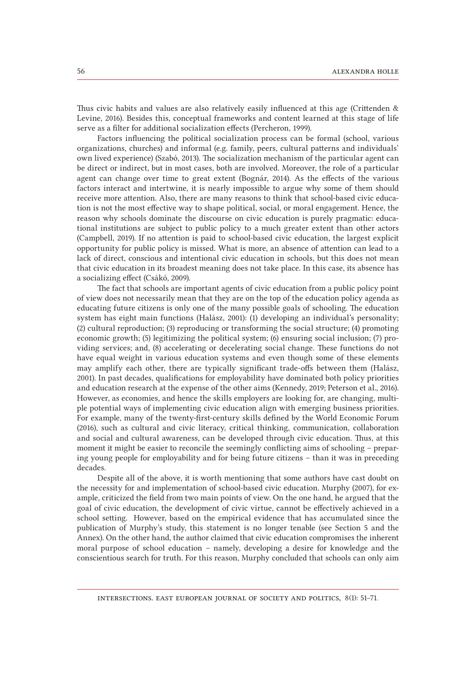Thus civic habits and values are also relatively easily influenced at this age (Crittenden & Levine, 2016). Besides this, conceptual frameworks and content learned at this stage of life serve as a filter for additional socialization effects (Percheron, 1999).

Factors influencing the political socialization process can be formal (school, various organizations, churches) and informal (e.g. family, peers, cultural patterns and individuals' own lived experience) (Szabó, 2013). The socialization mechanism of the particular agent can be direct or indirect, but in most cases, both are involved. Moreover, the role of a particular agent can change over time to great extent (Bognár, 2014). As the effects of the various factors interact and intertwine, it is nearly impossible to argue why some of them should receive more attention. Also, there are many reasons to think that school-based civic education is not the most effective way to shape political, social, or moral engagement. Hence, the reason why schools dominate the discourse on civic education is purely pragmatic: educational institutions are subject to public policy to a much greater extent than other actors (Campbell, 2019). If no attention is paid to school-based civic education, the largest explicit opportunity for public policy is missed. What is more, an absence of attention can lead to a lack of direct, conscious and intentional civic education in schools, but this does not mean that civic education in its broadest meaning does not take place. In this case, its absence has a socializing effect (Csákó, 2009).

The fact that schools are important agents of civic education from a public policy point of view does not necessarily mean that they are on the top of the education policy agenda as educating future citizens is only one of the many possible goals of schooling. The education system has eight main functions (Halász, 2001): (1) developing an individual's personality; (2) cultural reproduction; (3) reproducing or transforming the social structure; (4) promoting economic growth; (5) legitimizing the political system; (6) ensuring social inclusion; (7) providing services; and, (8) accelerating or decelerating social change. These functions do not have equal weight in various education systems and even though some of these elements may amplify each other, there are typically significant trade-offs between them (Halász, 2001). In past decades, qualifications for employability have dominated both policy priorities and education research at the expense of the other aims (Kennedy, 2019; Peterson et al., 2016). However, as economies, and hence the skills employers are looking for, are changing, multiple potential ways of implementing civic education align with emerging business priorities. For example, many of the twenty-first-century skills defined by the World Economic Forum (2016), such as cultural and civic literacy, critical thinking, communication, collaboration and social and cultural awareness, can be developed through civic education. Thus, at this moment it might be easier to reconcile the seemingly conflicting aims of schooling – preparing young people for employability and for being future citizens – than it was in preceding decades.

Despite all of the above, it is worth mentioning that some authors have cast doubt on the necessity for and implementation of school-based civic education. Murphy (2007), for example, criticized the field from two main points of view. On the one hand, he argued that the goal of civic education, the development of civic virtue, cannot be effectively achieved in a school setting. However, based on the empirical evidence that has accumulated since the publication of Murphy's study, this statement is no longer tenable (see Section 5 and the Annex). On the other hand, the author claimed that civic education compromises the inherent moral purpose of school education – namely, developing a desire for knowledge and the conscientious search for truth. For this reason, Murphy concluded that schools can only aim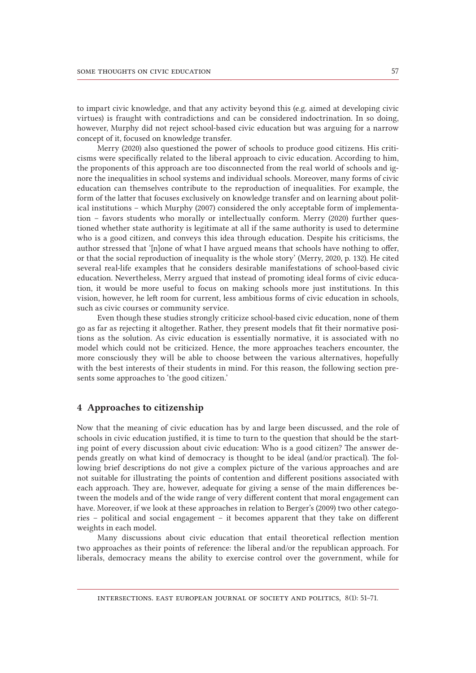to impart civic knowledge, and that any activity beyond this (e.g. aimed at developing civic virtues) is fraught with contradictions and can be considered indoctrination. In so doing, however, Murphy did not reject school-based civic education but was arguing for a narrow concept of it, focused on knowledge transfer.

Merry (2020) also questioned the power of schools to produce good citizens. His criticisms were specifically related to the liberal approach to civic education. According to him, the proponents of this approach are too disconnected from the real world of schools and ignore the inequalities in school systems and individual schools. Moreover, many forms of civic education can themselves contribute to the reproduction of inequalities. For example, the form of the latter that focuses exclusively on knowledge transfer and on learning about political institutions – which Murphy (2007) considered the only acceptable form of implementation – favors students who morally or intellectually conform. Merry (2020) further questioned whether state authority is legitimate at all if the same authority is used to determine who is a good citizen, and conveys this idea through education. Despite his criticisms, the author stressed that '[n]one of what I have argued means that schools have nothing to offer, or that the social reproduction of inequality is the whole story' (Merry, 2020, p. 132). He cited several real-life examples that he considers desirable manifestations of school-based civic education. Nevertheless, Merry argued that instead of promoting ideal forms of civic education, it would be more useful to focus on making schools more just institutions. In this vision, however, he left room for current, less ambitious forms of civic education in schools, such as civic courses or community service.

Even though these studies strongly criticize school-based civic education, none of them go as far as rejecting it altogether. Rather, they present models that fit their normative positions as the solution. As civic education is essentially normative, it is associated with no model which could not be criticized. Hence, the more approaches teachers encounter, the more consciously they will be able to choose between the various alternatives, hopefully with the best interests of their students in mind. For this reason, the following section presents some approaches to 'the good citizen.'

## 4 Approaches to citizenship

Now that the meaning of civic education has by and large been discussed, and the role of schools in civic education justified, it is time to turn to the question that should be the starting point of every discussion about civic education: Who is a good citizen? The answer depends greatly on what kind of democracy is thought to be ideal (and/or practical). The following brief descriptions do not give a complex picture of the various approaches and are not suitable for illustrating the points of contention and different positions associated with each approach. They are, however, adequate for giving a sense of the main differences between the models and of the wide range of very different content that moral engagement can have. Moreover, if we look at these approaches in relation to Berger's (2009) two other categories – political and social engagement – it becomes apparent that they take on different weights in each model.

Many discussions about civic education that entail theoretical reflection mention two approaches as their points of reference: the liberal and/or the republican approach. For liberals, democracy means the ability to exercise control over the government, while for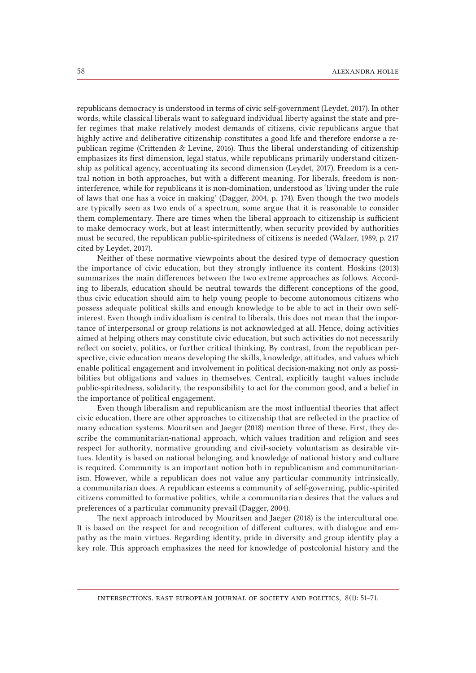republicans democracy is understood in terms of civic self-government (Leydet, 2017). In other words, while classical liberals want to safeguard individual liberty against the state and prefer regimes that make relatively modest demands of citizens, civic republicans argue that highly active and deliberative citizenship constitutes a good life and therefore endorse a republican regime (Crittenden & Levine, 2016). Thus the liberal understanding of citizenship emphasizes its first dimension, legal status, while republicans primarily understand citizenship as political agency, accentuating its second dimension (Leydet, 2017). Freedom is a central notion in both approaches, but with a different meaning. For liberals, freedom is non-interference, while for republicans it is non-domination, understood as 'living under the rule of laws that one has a voice in making' (Dagger, 2004, p. 174). Even though the two models are typically seen as two ends of a spectrum, some argue that it is reasonable to consider them complementary. There are times when the liberal approach to citizenship is sufficient to make democracy work, but at least intermittently, when security provided by authorities must be secured, the republican public-spiritedness of citizens is needed (Walzer, 1989, p. 217 cited by Leydet, 2017).

Neither of these normative viewpoints about the desired type of democracy question the importance of civic education, but they strongly influence its content. Hoskins (2013) summarizes the main differences between the two extreme approaches as follows. According to liberals, education should be neutral towards the different conceptions of the good, thus civic education should aim to help young people to become autonomous citizens who possess adequate political skills and enough knowledge to be able to act in their own self-interest. Even though individualism is central to liberals, this does not mean that the importance of interpersonal or group relations is not acknowledged at all. Hence, doing activities aimed at helping others may constitute civic education, but such activities do not necessarily reflect on society, politics, or further critical thinking. By contrast, from the republican perspective, civic education means developing the skills, knowledge, attitudes, and values which enable political engagement and involvement in political decision-making not only as possibilities but obligations and values in themselves. Central, explicitly taught values include public-spiritedness, solidarity, the responsibility to act for the common good, and a belief in the importance of political engagement.

Even though liberalism and republicanism are the most influential theories that affect civic education, there are other approaches to citizenship that are reflected in the practice of many education systems. Mouritsen and Jaeger (2018) mention three of these. First, they describe the communitarian-national approach, which values tradition and religion and sees respect for authority, normative grounding and civil-society voluntarism as desirable virtues. Identity is based on national belonging, and knowledge of national history and culture is required. Community is an important notion both in republicanism and communitarianism. However, while a republican does not value any particular community intrinsically, a communitarian does. A republican esteems a community of self-governing, public-spirited citizens committed to formative politics, while a communitarian desires that the values and preferences of a particular community prevail (Dagger, 2004).

The next approach introduced by Mouritsen and Jaeger (2018) is the intercultural one. It is based on the respect for and recognition of different cultures, with dialogue and empathy as the main virtues. Regarding identity, pride in diversity and group identity play a key role. This approach emphasizes the need for knowledge of postcolonial history and the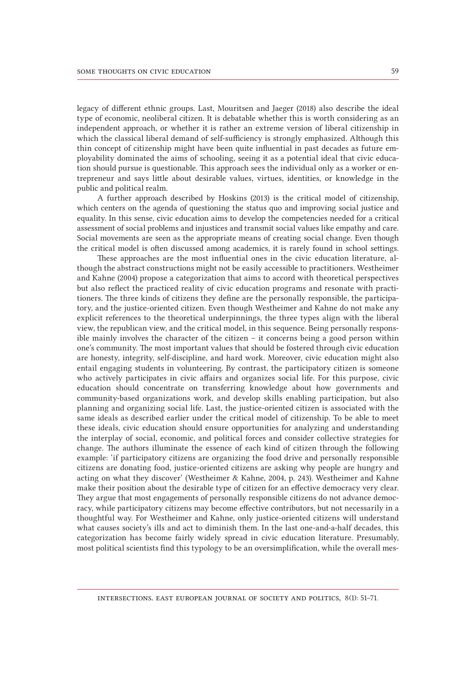legacy of different ethnic groups. Last, Mouritsen and Jaeger (2018) also describe the ideal type of economic, neoliberal citizen. It is debatable whether this is worth considering as an independent approach, or whether it is rather an extreme version of liberal citizenship in which the classical liberal demand of self-sufficiency is strongly emphasized. Although this thin concept of citizenship might have been quite influential in past decades as future employability dominated the aims of schooling, seeing it as a potential ideal that civic education should pursue is questionable. This approach sees the individual only as a worker or entrepreneur and says little about desirable values, virtues, identities, or knowledge in the public and political realm.

A further approach described by Hoskins (2013) is the critical model of citizenship, which centers on the agenda of questioning the status quo and improving social justice and equality. In this sense, civic education aims to develop the competencies needed for a critical assessment of social problems and injustices and transmit social values like empathy and care. Social movements are seen as the appropriate means of creating social change. Even though the critical model is often discussed among academics, it is rarely found in school settings.

These approaches are the most influential ones in the civic education literature, although the abstract constructions might not be easily accessible to practitioners. Westheimer and Kahne (2004) propose a categorization that aims to accord with theoretical perspectives but also reflect the practiced reality of civic education programs and resonate with practitioners. The three kinds of citizens they define are the personally responsible, the participatory, and the justice-oriented citizen. Even though Westheimer and Kahne do not make any explicit references to the theoretical underpinnings, the three types align with the liberal view, the republican view, and the critical model, in this sequence. Being personally responsible mainly involves the character of the citizen – it concerns being a good person within one's community. The most important values that should be fostered through civic education are honesty, integrity, self-discipline, and hard work. Moreover, civic education might also entail engaging students in volunteering. By contrast, the participatory citizen is someone who actively participates in civic affairs and organizes social life. For this purpose, civic education should concentrate on transferring knowledge about how governments and community-based organizations work, and develop skills enabling participation, but also planning and organizing social life. Last, the justice-oriented citizen is associated with the same ideals as described earlier under the critical model of citizenship. To be able to meet these ideals, civic education should ensure opportunities for analyzing and understanding the interplay of social, economic, and political forces and consider collective strategies for change. The authors illuminate the essence of each kind of citizen through the following example: 'if participatory citizens are organizing the food drive and personally responsible citizens are donating food, justice-oriented citizens are asking why people are hungry and acting on what they discover' (Westheimer & Kahne, 2004, p. 243). Westheimer and Kahne make their position about the desirable type of citizen for an effective democracy very clear. They argue that most engagements of personally responsible citizens do not advance democracy, while participatory citizens may become effective contributors, but not necessarily in a thoughtful way. For Westheimer and Kahne, only justice-oriented citizens will understand what causes society's ills and act to diminish them. In the last one-and-a-half decades, this categorization has become fairly widely spread in civic education literature. Presumably, most political scientists find this typology to be an oversimplification, while the overall mes-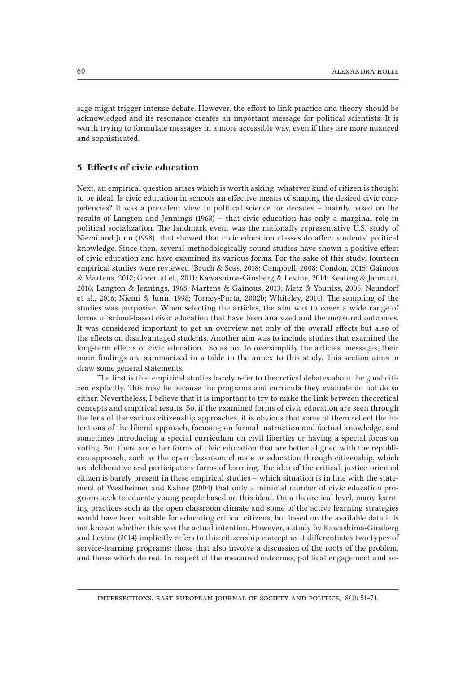sage might trigger intense debate. However, the effort to link practice and theory should be acknowledged and its resonance creates an important message for political scientists: It is worth trying to formulate messages in a more accessible way, even if they are more nuanced and sophisticated.

# 5 Effects of civic education

Next, an empirical question arises which is worth asking, whatever kind of citizen is thought to be ideal. Is civic education in schools an effective means of shaping the desired civic competencies? It was a prevalent view in political science for decades – mainly based on the results of Langton and Jennings (1968) – that civic education has only a marginal role in political socialization. The landmark event was the nationally representative U.S. study of Niemi and Junn (1998) that showed that civic education classes do affect students' political knowledge. Since then, several methodologically sound studies have shown a positive effect of civic education and have examined its various forms. For the sake of this study, fourteen empirical studies were reviewed (Bruch & Soss, 2018; Campbell, 2008; Condon, 2015; Gainous & Martens, 2012; Green at el., 2011; Kawashima-Ginsberg & Levine, 2014; Keating & Janmaat, 2016; Langton & Jennings, 1968; Martens & Gainous, 2013; Metz & Youniss, 2005; Neundorf et al., 2016; Niemi & Junn, 1998; Torney-Purta, 2002b; Whiteley, 2014). The sampling of the studies was purposive. When selecting the articles, the aim was to cover a wide range of forms of school-based civic education that have been analyzed and the measured outcomes. It was considered important to get an overview not only of the overall effects but also of the effects on disadvantaged students. Another aim was to include studies that examined the long-term effects of civic education. So as not to oversimplify the articles' messages, their main findings are summarized in a table in the annex to this study. This section aims to draw some general statements.

The first is that empirical studies barely refer to theoretical debates about the good citizen explicitly. This may be because the programs and curricula they evaluate do not do so either. Nevertheless, I believe that it is important to try to make the link between theoretical concepts and empirical results. So, if the examined forms of civic education are seen through the lens of the various citizenship approaches, it is obvious that some of them reflect the intentions of the liberal approach, focusing on formal instruction and factual knowledge, and sometimes introducing a special curriculum on civil liberties or having a special focus on voting. But there are other forms of civic education that are better aligned with the republican approach, such as the open classroom climate or education through citizenship, which are deliberative and participatory forms of learning. The idea of the critical, justice-oriented citizen is barely present in these empirical studies – which situation is in line with the statement of Westheimer and Kahne (2004) that only a minimal number of civic education programs seek to educate young people based on this ideal. On a theoretical level, many learning practices such as the open classroom climate and some of the active learning strategies would have been suitable for educating critical citizens, but based on the available data it is not known whether this was the actual intention. However, a study by Kawashima-Ginsberg and Levine (2014) implicitly refers to this citizenship concept as it differentiates two types of service-learning programs: those that also involve a discussion of the roots of the problem, and those which do not. In respect of the measured outcomes, political engagement and so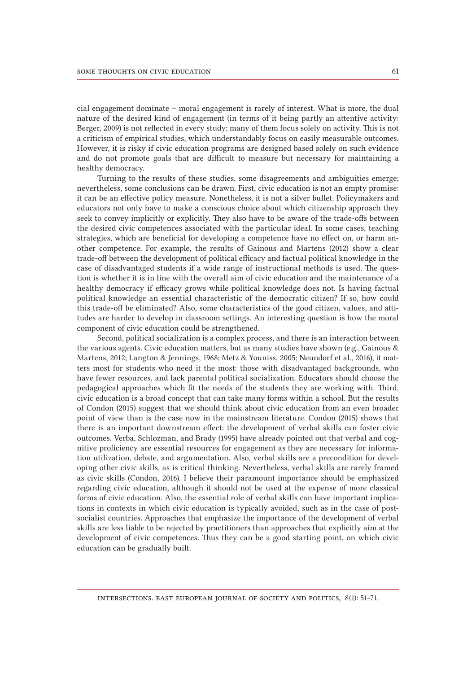cial engagement dominate – moral engagement is rarely of interest. What is more, the dual nature of the desired kind of engagement (in terms of it being partly an attentive activity: Berger, 2009) is not reflected in every study; many of them focus solely on activity. This is not a criticism of empirical studies, which understandably focus on easily measurable outcomes. However, it is risky if civic education programs are designed based solely on such evidence and do not promote goals that are difficult to measure but necessary for maintaining a healthy democracy.

Turning to the results of these studies, some disagreements and ambiguities emerge; nevertheless, some conclusions can be drawn. First, civic education is not an empty promise: it can be an effective policy measure. Nonetheless, it is not a silver bullet. Policymakers and educators not only have to make a conscious choice about which citizenship approach they seek to convey implicitly or explicitly. They also have to be aware of the trade-offs between the desired civic competences associated with the particular ideal. In some cases, teaching strategies, which are beneficial for developing a competence have no effect on, or harm another competence. For example, the results of Gainous and Martens (2012) show a clear trade-off between the development of political efficacy and factual political knowledge in the case of disadvantaged students if a wide range of instructional methods is used. The question is whether it is in line with the overall aim of civic education and the maintenance of a healthy democracy if efficacy grows while political knowledge does not. Is having factual political knowledge an essential characteristic of the democratic citizen? If so, how could this trade-off be eliminated? Also, some characteristics of the good citizen, values, and attitudes are harder to develop in classroom settings. An interesting question is how the moral component of civic education could be strengthened.

Second, political socialization is a complex process, and there is an interaction between the various agents. Civic education matters, but as many studies have shown (e.g., Gainous & Martens, 2012; Langton & Jennings, 1968; Metz & Youniss, 2005; Neundorf et al., 2016), it matters most for students who need it the most: those with disadvantaged backgrounds, who have fewer resources, and lack parental political socialization. Educators should choose the pedagogical approaches which fit the needs of the students they are working with. Third, civic education is a broad concept that can take many forms within a school. But the results of Condon (2015) suggest that we should think about civic education from an even broader point of view than is the case now in the mainstream literature. Condon (2015) shows that there is an important downstream effect: the development of verbal skills can foster civic outcomes. Verba, Schlozman, and Brady (1995) have already pointed out that verbal and cognitive proficiency are essential resources for engagement as they are necessary for information utilization, debate, and argumentation. Also, verbal skills are a precondition for developing other civic skills, as is critical thinking. Nevertheless, verbal skills are rarely framed as civic skills (Condon, 2016). I believe their paramount importance should be emphasized regarding civic education, although it should not be used at the expense of more classical forms of civic education. Also, the essential role of verbal skills can have important implications in contexts in which civic education is typically avoided, such as in the case of post-socialist countries. Approaches that emphasize the importance of the development of verbal skills are less liable to be rejected by practitioners than approaches that explicitly aim at the development of civic competences. Thus they can be a good starting point, on which civic education can be gradually built.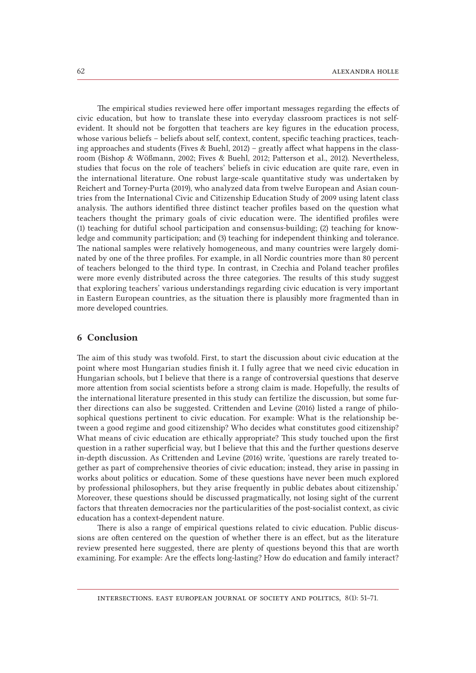The empirical studies reviewed here offer important messages regarding the effects of civic education, but how to translate these into everyday classroom practices is not self-evident. It should not be forgotten that teachers are key figures in the education process, whose various beliefs – beliefs about self, context, content, specific teaching practices, teaching approaches and students (Fives & Buehl, 2012) – greatly affect what happens in the classroom (Bishop & Wößmann, 2002; Fives & Buehl, 2012; Patterson et al., 2012). Nevertheless, studies that focus on the role of teachers' beliefs in civic education are quite rare, even in the international literature. One robust large-scale quantitative study was undertaken by Reichert and Torney-Purta (2019), who analyzed data from twelve European and Asian countries from the International Civic and Citizenship Education Study of 2009 using latent class analysis. The authors identified three distinct teacher profiles based on the question what teachers thought the primary goals of civic education were. The identified profiles were (1) teaching for dutiful school participation and consensus-building; (2) teaching for knowledge and community participation; and (3) teaching for independent thinking and tolerance. The national samples were relatively homogeneous, and many countries were largely dominated by one of the three profiles. For example, in all Nordic countries more than 80 percent of teachers belonged to the third type. In contrast, in Czechia and Poland teacher profiles were more evenly distributed across the three categories. The results of this study suggest that exploring teachers' various understandings regarding civic education is very important in Eastern European countries, as the situation there is plausibly more fragmented than in more developed countries.

# 6 Conclusion

The aim of this study was twofold. First, to start the discussion about civic education at the point where most Hungarian studies finish it. I fully agree that we need civic education in Hungarian schools, but I believe that there is a range of controversial questions that deserve more attention from social scientists before a strong claim is made. Hopefully, the results of the international literature presented in this study can fertilize the discussion, but some further directions can also be suggested. Crittenden and Levine (2016) listed a range of philosophical questions pertinent to civic education. For example: What is the relationship between a good regime and good citizenship? Who decides what constitutes good citizenship? What means of civic education are ethically appropriate? This study touched upon the first question in a rather superficial way, but I believe that this and the further questions deserve in-depth discussion. As Crittenden and Levine (2016) write, 'questions are rarely treated together as part of comprehensive theories of civic education; instead, they arise in passing in works about politics or education. Some of these questions have never been much explored by professional philosophers, but they arise frequently in public debates about citizenship.' Moreover, these questions should be discussed pragmatically, not losing sight of the current factors that threaten democracies nor the particularities of the post-socialist context, as civic education has a context-dependent nature.

There is also a range of empirical questions related to civic education. Public discussions are often centered on the question of whether there is an effect, but as the literature review presented here suggested, there are plenty of questions beyond this that are worth examining. For example: Are the effects long-lasting? How do education and family interact?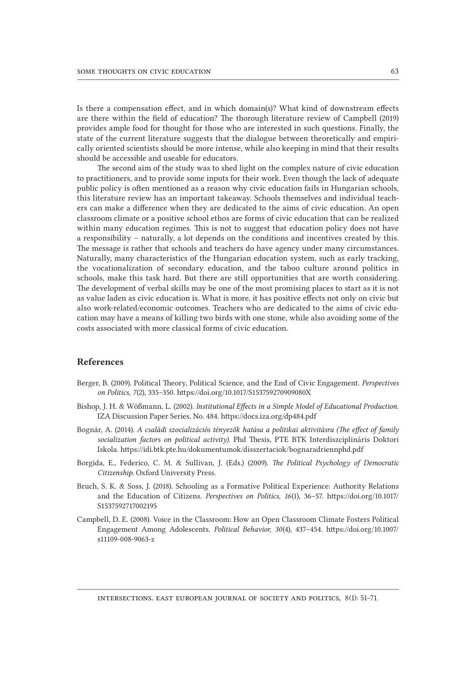Is there a compensation effect, and in which domain(s)? What kind of downstream effects are there within the field of education? The thorough literature review of Campbell (2019) provides ample food for thought for those who are interested in such questions. Finally, the state of the current literature suggests that the dialogue between theoretically and empirically oriented scientists should be more intense, while also keeping in mind that their results should be accessible and useable for educators.

The second aim of the study was to shed light on the complex nature of civic education to practitioners, and to provide some inputs for their work. Even though the lack of adequate public policy is often mentioned as a reason why civic education fails in Hungarian schools, this literature review has an important takeaway. Schools themselves and individual teachers can make a difference when they are dedicated to the aims of civic education. An open classroom climate or a positive school ethos are forms of civic education that can be realized within many education regimes. This is not to suggest that education policy does not have a responsibility – naturally, a lot depends on the conditions and incentives created by this. The message is rather that schools and teachers do have agency under many circumstances. Naturally, many characteristics of the Hungarian education system, such as early tracking, the vocationalization of secondary education, and the taboo culture around politics in schools, make this task hard. But there are still opportunities that are worth considering. The development of verbal skills may be one of the most promising places to start as it is not as value laden as civic education is. What is more, it has positive effects not only on civic but also work-related/economic outcomes. Teachers who are dedicated to the aims of civic education may have a means of killing two birds with one stone, while also avoiding some of the costs associated with more classical forms of civic education.

## References

- Berger, B. (2009). Political Theory, Political Science, and the End of Civic Engagement. *Perspectives on Politics, 7*(2), 335–350. https://doi.org/10.1017/S153759270909080X
- Bishop, J. H. & Wößmann, L. (2002). *Institutional Effects in a Simple Model of Educational Production*. IZA Discussion Paper Series, No. 484. https://docs.iza.org/dp484.pdf
- Bognár, A. (2014). *A családi szocializációs tényezők hatása a politikai aktivitásra (The effect of family socialization factors on political activity).* Phd Thesis, PTE BTK Interdiszciplináris Doktori Iskola. https://idi.btk.pte.hu/dokumentumok/disszertaciok/bognaradriennphd.pdf
- Borgida, E., Federico, C. M. & Sullivan, J. (Eds.) (2009). *The Political Psychology of Democratic Citizenship*. Oxford University Press.
- Bruch, S. K. & Soss, J. (2018). Schooling as a Formative Political Experience: Authority Relations and the Education of Citizens. *Perspectives on Politics, 16*(1), 36–57. [https://doi.org/10.1017/](https://doi.org/10.1017/S1537592717002195) [S1537592717002195](https://doi.org/10.1017/S1537592717002195)
- Campbell, D. E. (2008). Voice in the Classroom: How an Open Classroom Climate Fosters Political Engagement Among Adolescents. *Political Behavior, 30*(4), 437–454. [https://doi.org/10.1007/](https://doi.org/10.1007/s11109-008-9063-z) [s11109-008-9063-z](https://doi.org/10.1007/s11109-008-9063-z)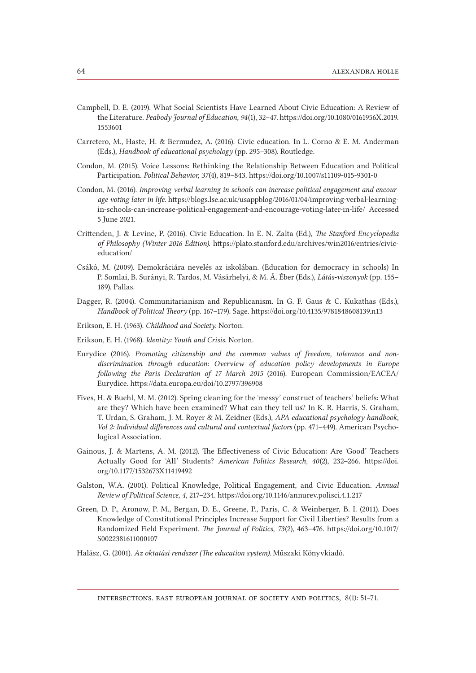- Campbell, D. E. (2019). What Social Scientists Have Learned About Civic Education: A Review of the Literature. *Peabody Journal of Education, 94*(1), 32–47. [https://doi.org/10.1080/0161956X.2019.](https://doi.org/10.1080/0161956X.2019.1553601) [1553601](https://doi.org/10.1080/0161956X.2019.1553601)
- Carretero, M., Haste, H. & Bermudez, A. (2016). Civic education. In L. Corno & E. M. Anderman (Eds.), *Handbook of educational psychology* (pp. 295–308). Routledge.
- Condon, M. (2015). Voice Lessons: Rethinking the Relationship Between Education and Political Participation. *Political Behavior, 37*(4), 819–843. https://doi.org/10.1007/s11109-015-9301-0
- Condon, M. (2016). *Improving verbal learning in schools can increase political engagement and encourage voting later in life*. [https://blogs.lse.ac.uk/usappblog/2016/01/04/improving-verbal-learning](https://blogs.lse.ac.uk/usappblog/2016/01/04/improving-verbal-learning-in-schools-can-increase-political-engagement-and-encourage-voting-later-in-life/)[in-schools-can-increase-political-engagement-and-encourage-voting-later-in-life/](https://blogs.lse.ac.uk/usappblog/2016/01/04/improving-verbal-learning-in-schools-can-increase-political-engagement-and-encourage-voting-later-in-life/) Accessed 5 June 2021.
- Crittenden, J. & Levine, P. (2016). Civic Education. In E. N. Zalta (Ed.), *The Stanford Encyclopedia of Philosophy (Winter 2016 Edition)*. [https://plato.stanford.edu/archives/win2016/entries/civic](https://plato.stanford.edu/archives/win2016/entries/civiceducation/)[education/](https://plato.stanford.edu/archives/win2016/entries/civiceducation/)
- Csákó, M. (2009). Demokráciára nevelés az iskolában. (Education for democracy in schools) In P. Somlai, B. Surányi, R. Tardos, M. Vásárhelyi, & M. Á. Éber (Eds.), *Látás-viszonyok* (pp. 155– 189). Pallas.
- Dagger, R. (2004). Communitarianism and Republicanism. In G. F. Gaus & C. Kukathas (Eds.), *Handbook of Political Theory* (pp. 167–179). Sage. https://doi.org/10.4135/9781848608139.n13
- Erikson, E. H. (1963). *Childhood and Society*. Norton.
- Erikson, E. H. (1968). *Identity: Youth and Crisis*. Norton.
- Eurydice (2016). *Promoting citizenship and the common values of freedom, tolerance and nondiscrimination through education: Overview of education policy developments in Europe following the Paris Declaration of 17 March 2015* (2016). European Commission/EACEA/ Eurydice. https://data.europa.eu/doi/10.2797/396908
- Fives, H. & Buehl, M. M. (2012). Spring cleaning for the ʻmessy' construct of teachers' beliefs: What are they? Which have been examined? What can they tell us? In K. R. Harris, S. Graham, T. Urdan, S. Graham, J. M. Royer & M. Zeidner (Eds.), *APA educational psychology handbook, Vol 2: Individual differences and cultural and contextual factors (pp. 471–449). American Psycho*logical Association.
- Gainous, J. & Martens, A. M. (2012). The Effectiveness of Civic Education: Are ʻGood' Teachers Actually Good for ʻAll' Students? *American Politics Research, 40*(2), 232–266. [https://doi.](https://doi.org/10.1177/1532673X11419492) [org/10.1177/1532673X11419492](https://doi.org/10.1177/1532673X11419492)
- Galston, W.A. (2001). Political Knowledge, Political Engagement, and Civic Education. *Annual Review of Political Science, 4,* 217–234. https://doi.org/10.1146/annurev.polisci.4.1.217
- Green, D. P., Aronow, P. M., Bergan, D. E., Greene, P., Paris, C. & Weinberger, B. I. (2011). Does Knowledge of Constitutional Principles Increase Support for Civil Liberties? Results from a Randomized Field Experiment. *The Journal of Politics, 73*(2), 463–476. [https://doi.org/10.1017/](https://doi.org/10.1017/S0022381611000107) [S0022381611000107](https://doi.org/10.1017/S0022381611000107)
- Halász, G. (2001). *Az oktatási rendszer (The education system).* Műszaki Könyvkiadó.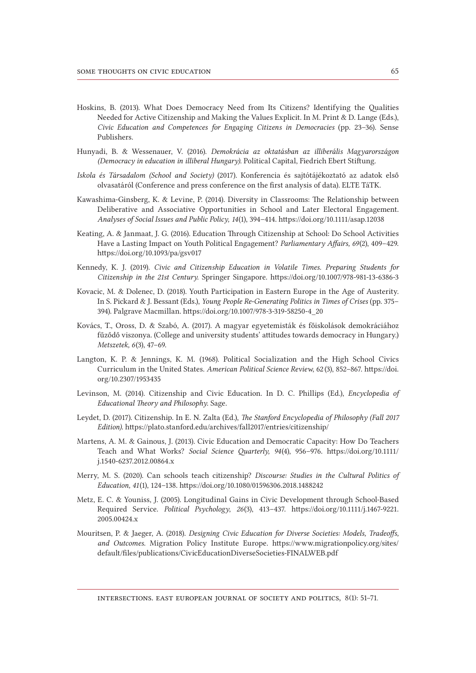- Hoskins, B. (2013). What Does Democracy Need from Its Citizens? Identifying the Qualities Needed for Active Citizenship and Making the Values Explicit. In M. Print & D. Lange (Eds.), *Civic Education and Competences for Engaging Citizens in Democracies* (pp. 23–36). Sense Publishers.
- Hunyadi, B. & Wessenauer, V. (2016). *Demokrácia az oktatásban az illiberális Magyarországon (Democracy in education in illiberal Hungary)*. Political Capital, Fiedrich Ebert Stiftung.
- *Iskola és Társadalom (School and Society)* (2017). Konferencia és sajtótájékoztató az adatok első olvasatáról (Conference and press conference on the first analysis of data). ELTE TáTK.
- Kawashima-Ginsberg, K. & Levine, P. (2014). Diversity in Classrooms: The Relationship between Deliberative and Associative Opportunities in School and Later Electoral Engagement. *Analyses of Social Issues and Public Policy, 14*(1), 394–414. https://doi.org/10.1111/asap.12038
- Keating, A. & Janmaat, J. G. (2016). Education Through Citizenship at School: Do School Activities Have a Lasting Impact on Youth Political Engagement? *Parliamentary Affairs, 69*(2), 409–429. https://doi.org/10.1093/pa/gsv017
- Kennedy, K. J. (2019). *Civic and Citizenship Education in Volatile Times. Preparing Students for Citizenship in the 21st Century*. Springer Singapore. https://doi.org/10.1007/978-981-13-6386-3
- Kovacic, M. & Dolenec, D. (2018). Youth Participation in Eastern Europe in the Age of Austerity. In S. Pickard & J. Bessant (Eds.), *Young People Re-Generating Politics in Times of Crises* (pp. 375– 394). Palgrave Macmillan. https://doi.org/10.1007/978-3-319-58250-4\_20
- Kovács, T., Oross, D. & Szabó, A. (2017). A magyar egyetemisták és főiskolások demokráciához fűződő viszonya. (College and university students' attitudes towards democracy in Hungary.) *Metszetek, 6*(3), 47–69.
- Langton, K. P. & Jennings, K. M. (1968). Political Socialization and the High School Civics Curriculum in the United States. *American Political Science Review*, 62 (3), 852–867. [https://doi.](https://doi.org/10.2307/1953435) [org/10.2307/1953435](https://doi.org/10.2307/1953435)
- Levinson, M. (2014). Citizenship and Civic Education. In D. C. Phillips (Ed.), *Encyclopedia of Educational Theory and Philosophy*. Sage.
- Leydet, D. (2017). Citizenship. In E. N. Zalta (Ed.), *The Stanford Encyclopedia of Philosophy (Fall 2017 Edition)*. https://plato.stanford.edu/archives/fall2017/entries/citizenship/
- Martens, A. M. & Gainous, J. (2013). Civic Education and Democratic Capacity: How Do Teachers Teach and What Works? *Social Science Quarterly, 94*(4), 956–976. [https://doi.org/10.1111/](https://doi.org/10.1111/j.1540-6237.2012.00864.x) [j.1540-6237.2012.00864.x](https://doi.org/10.1111/j.1540-6237.2012.00864.x)
- Merry, M. S. (2020). Can schools teach citizenship? *Discourse: Studies in the Cultural Politics of Education, 41*(1), 124–138. https://doi.org/10.1080/01596306.2018.1488242
- Metz, E. C. & Youniss, J. (2005). Longitudinal Gains in Civic Development through School-Based Required Service. *Political Psychology*, *26*(3), 413–437. [https://doi.org/10.1111/j.1467-9221.](https://doi.org/10.1111/j.1467-9221.2005.00424.x) [2005.00424.x](https://doi.org/10.1111/j.1467-9221.2005.00424.x)
- Mouritsen, P. & Jaeger, A. (2018). *Designing Civic Education for Diverse Societies: Models, Tradeoffs, and Outcomes*. Migration Policy Institute Europe. [https://www.migrationpolicy.org/sites/](https://www.migrationpolicy.org/sites/default/files/publications/CivicEducationDiverseSocieties-FINALWEB.pdf) [default/files/publications/CivicEducationDiverseSocieties-FINALWEB.pdf](https://www.migrationpolicy.org/sites/default/files/publications/CivicEducationDiverseSocieties-FINALWEB.pdf)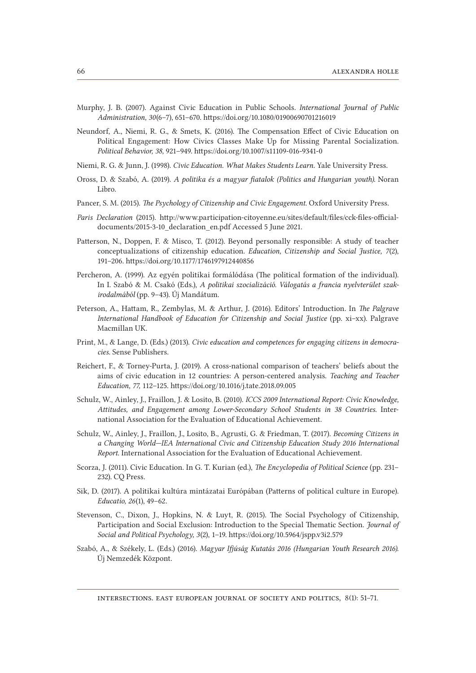- Murphy, J. B. (2007). Against Civic Education in Public Schools. *International Journal of Public Administration, 30*(6–7), 651–670. https://doi.org/10.1080/01900690701216019
- Neundorf, A., Niemi, R. G., & Smets, K. (2016). The Compensation Effect of Civic Education on Political Engagement: How Civics Classes Make Up for Missing Parental Socialization. *Political Behavior, 38,* 921–949. https://doi.org/10.1007/s11109-016-9341-0
- Niemi, R. G. & Junn, J. (1998). *Civic Education. What Makes Students Learn*. Yale University Press.
- Oross, D. & Szabó, A. (2019). *A politika és a magyar fiatalok (Politics and Hungarian youth).* Noran Libro.
- Pancer, S. M. (2015). *The Psychology of Citizenship and Civic Engagement*. Oxford University Press.
- *Paris Declaration* (2015). [http://www.participation-citoyenne.eu/sites/default/files/cck-files-official](http://www.participation-citoyenne.eu/sites/default/files/cck-files-official-documents/2015-3-10_declaration_en.pdf)[documents/2015-3-10\\_declaration\\_en.pdf](http://www.participation-citoyenne.eu/sites/default/files/cck-files-official-documents/2015-3-10_declaration_en.pdf) Accessed 5 June 2021.
- Patterson, N., Doppen, F. & Misco, T. (2012). Beyond personally responsible: A study of teacher conceptualizations of citizenship education. *Education, Citizenship and Social Justice, 7*(2), 191–206. https://doi.org/10.1177/1746197912440856
- Percheron, A. (1999). Az egyén politikai formálódása (The political formation of the individual). In I. Szabó & M. Csakó (Eds.), *A politikai szocializáció. Válogatás a francia nyelvterület szakirodalmából* (pp. 9–43). Új Mandátum.
- Peterson, A., Hattam, R., Zembylas, M. & Arthur, J. (2016). Editors' Introduction. In *The Palgrave International Handbook of Education for Citizenship and Social Justice* (pp. xi–xx). Palgrave Macmillan UK.
- Print, M., & Lange, D. (Eds.) (2013). *Civic education and competences for engaging citizens in democracies*. Sense Publishers.
- Reichert, F., & Torney-Purta, J. (2019). A cross-national comparison of teachers' beliefs about the aims of civic education in 12 countries: A person-centered analysis. *Teaching and Teacher Education, 77,* 112–125. https://doi.org/10.1016/j.tate.2018.09.005
- Schulz, W., Ainley, J., Fraillon, J. & Losito, B. (2010). *ICCS 2009 International Report: Civic Knowledge, Attitudes, and Engagement among Lower-Secondary School Students in 38 Countries*. International Association for the Evaluation of Educational Achievement.
- Schulz, W., Ainley, J., Fraillon, J., Losito, B., Agrusti, G. & Friedman, T. (2017). *Becoming Citizens in a Changing World—IEA International Civic and Citizenship Education Study 2016 International Report*. International Association for the Evaluation of Educational Achievement.
- Scorza, J. (2011). Civic Education. In G. T. Kurian (ed.), *The Encyclopedia of Political Science* (pp. 231– 232). CQ Press.
- Sik, D. (2017). A politikai kultúra mintázatai Európában (Patterns of political culture in Europe). *Educatio, 26*(1), 49–62.
- Stevenson, C., Dixon, J., Hopkins, N. & Luyt, R. (2015). The Social Psychology of Citizenship, Participation and Social Exclusion: Introduction to the Special Thematic Section. *Journal of Social and Political Psychology, 3*(2), 1–19. https://doi.org/10.5964/jspp.v3i2.579
- Szabó, A., & Székely, L. (Eds.) (2016). *Magyar Ifjúság Kutatás 2016 (Hungarian Youth Research 2016).* Új Nemzedék Központ.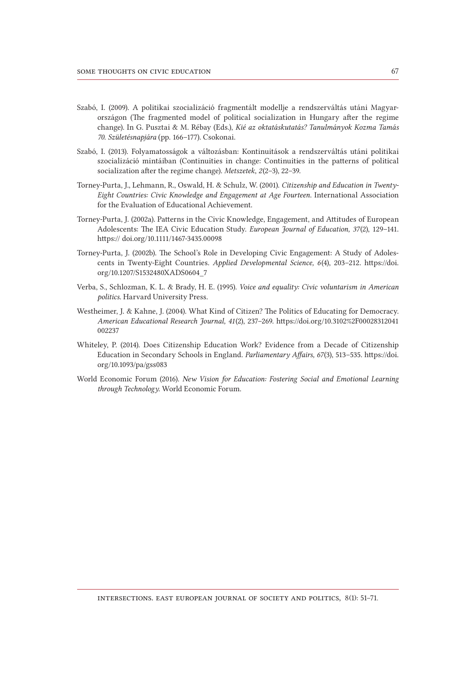- Szabó, I. (2009). A politikai szocializáció fragmentált modellje a rendszerváltás utáni Magyarországon (The fragmented model of political socialization in Hungary after the regime change). In G. Pusztai & M. Rébay (Eds.), *Kié az oktatáskutatás? Tanulmányok Kozma Tamás 70. Születésnapjára* (pp. 166–177). Csokonai.
- Szabó, I. (2013). Folyamatosságok a változásban: Kontinuitások a rendszerváltás utáni politikai szocializáció mintáiban (Continuities in change: Continuities in the patterns of political socialization after the regime change). *Metszetek*, *2*(2–3), 22–39.
- Torney-Purta, J., Lehmann, R., Oswald, H. & Schulz, W. (2001). *Citizenship and Education in Twenty-Eight Countries: Civic Knowledge and Engagement at Age Fourteen*. International Association for the Evaluation of Educational Achievement.
- Torney-Purta, J. (2002a). Patterns in the Civic Knowledge, Engagement, and Attitudes of European Adolescents: The IEA Civic Education Study. *European Journal of Education, 37*(2), 129–141. https:// doi.org/10.1111/1467-3435.00098
- Torney-Purta, J. (2002b). The School's Role in Developing Civic Engagement: A Study of Adolescents in Twenty-Eight Countries. *Applied Developmental Science, 6*(4), 203–212. [https://doi.](https://doi.org/10.1207/S1532480XADS0604_7) [org/10.1207/S1532480XADS0604\\_7](https://doi.org/10.1207/S1532480XADS0604_7)
- Verba, S., Schlozman, K. L. & Brady, H. E. (1995). *Voice and equality: Civic voluntarism in American politics*. Harvard University Press.
- Westheimer, J. & Kahne, J. (2004). What Kind of Citizen? The Politics of Educating for Democracy. *American Educational Research Journal, 41*(2), 237–269. [https://doi.org/10.3102%2F00028312041](https://doi.org/10.3102%252F00028312041002237) [002237](https://doi.org/10.3102%252F00028312041002237)
- Whiteley, P. (2014). Does Citizenship Education Work? Evidence from a Decade of Citizenship Education in Secondary Schools in England. *Parliamentary Affairs, 67*(3), 513–535. [https://doi.](https://doi.org/10.1093/pa/gss083) [org/10.1093/pa/gss083](https://doi.org/10.1093/pa/gss083)
- World Economic Forum (2016). *New Vision for Education: Fostering Social and Emotional Learning through Technology*. World Economic Forum.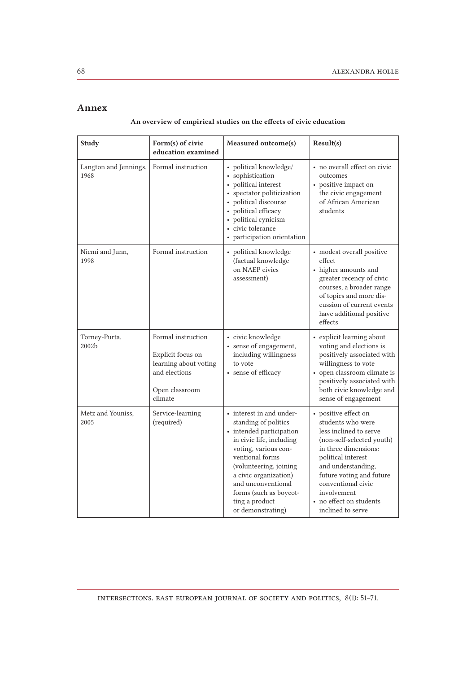## Annex

| An overview of empirical studies on the effects of civic education |  |  |  |
|--------------------------------------------------------------------|--|--|--|
|--------------------------------------------------------------------|--|--|--|

| <b>Study</b>                  | Form(s) of civic<br>education examined                                                                         | Measured outcome(s)                                                                                                                                                                                                                                                                           | Result(s)                                                                                                                                                                                                                                                                             |
|-------------------------------|----------------------------------------------------------------------------------------------------------------|-----------------------------------------------------------------------------------------------------------------------------------------------------------------------------------------------------------------------------------------------------------------------------------------------|---------------------------------------------------------------------------------------------------------------------------------------------------------------------------------------------------------------------------------------------------------------------------------------|
| Langton and Jennings,<br>1968 | Formal instruction                                                                                             | • political knowledge/<br>• sophistication<br>• political interest<br>• spectator politicization<br>• political discourse<br>political efficacy<br>political cynicism<br>• civic tolerance<br>• participation orientation                                                                     | • no overall effect on civic<br>outcomes<br>• positive impact on<br>the civic engagement<br>of African American<br>students                                                                                                                                                           |
| Niemi and Junn,<br>1998       | Formal instruction                                                                                             | • political knowledge<br>(factual knowledge<br>on NAEP civics<br>assessment)                                                                                                                                                                                                                  | - modest overall positive $\,$<br>effect<br>• higher amounts and<br>greater recency of civic<br>courses, a broader range<br>of topics and more dis-<br>cussion of current events<br>have additional positive<br>effects                                                               |
| Torney-Purta,<br>2002b        | Formal instruction<br>Explicit focus on<br>learning about voting<br>and elections<br>Open classroom<br>climate | • civic knowledge<br>• sense of engagement,<br>including willingness<br>to vote<br>• sense of efficacy                                                                                                                                                                                        | • explicit learning about<br>voting and elections is<br>positively associated with<br>willingness to vote<br>- open classroom climate is $% \left\vert \cdot \right\rangle$<br>positively associated with<br>both civic knowledge and<br>sense of engagement                          |
| Metz and Youniss,<br>2005     | Service-learning<br>(required)                                                                                 | • interest in and under-<br>standing of politics<br>- intended participation<br>in civic life, including<br>voting, various con-<br>ventional forms<br>(volunteering, joining<br>a civic organization)<br>and unconventional<br>forms (such as boycot-<br>ting a product<br>or demonstrating) | • positive effect on<br>students who were<br>less inclined to serve<br>(non-self-selected youth)<br>in three dimensions:<br>political interest<br>and understanding,<br>future voting and future<br>conventional civic<br>involvement<br>• no effect on students<br>inclined to serve |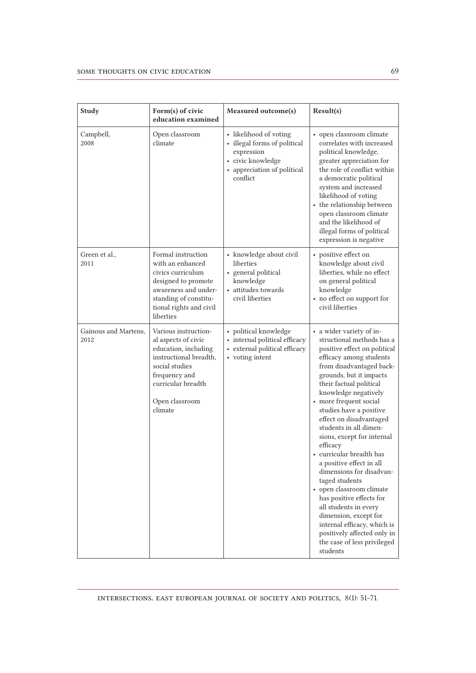| <b>Study</b>                 | Form(s) of civic<br>education examined                                                                                                                                              | Measured outcome(s)                                                                                                                  | Result(s)                                                                                                                                                                                                                                                                                                                                                                                                                                                                                                                                                                                                                                                                                               |
|------------------------------|-------------------------------------------------------------------------------------------------------------------------------------------------------------------------------------|--------------------------------------------------------------------------------------------------------------------------------------|---------------------------------------------------------------------------------------------------------------------------------------------------------------------------------------------------------------------------------------------------------------------------------------------------------------------------------------------------------------------------------------------------------------------------------------------------------------------------------------------------------------------------------------------------------------------------------------------------------------------------------------------------------------------------------------------------------|
| Campbell,<br>2008            | Open classroom<br>climate                                                                                                                                                           | • likelihood of voting<br>• illegal forms of political<br>expression<br>• civic knowledge<br>• appreciation of political<br>conflict | • open classroom climate<br>correlates with increased<br>political knowledge,<br>greater appreciation for<br>the role of conflict within<br>a democratic political<br>system and increased<br>likelihood of voting<br>• the relationship between<br>open classroom climate<br>and the likelihood of<br>illegal forms of political<br>expression is negative                                                                                                                                                                                                                                                                                                                                             |
| Green et al.,<br>2011        | Formal instruction<br>with an enhanced<br>civics curriculum<br>designed to promote<br>awareness and under-<br>standing of constitu-<br>tional rights and civil<br>liberties         | • knowledge about civil<br>liberties<br>• general political<br>knowledge<br>• attitudes towards<br>civil liberties                   | • positive effect on<br>knowledge about civil<br>liberties, while no effect<br>on general political<br>knowledge<br>• no effect on support for<br>civil liberties                                                                                                                                                                                                                                                                                                                                                                                                                                                                                                                                       |
| Gainous and Martens,<br>2012 | Various instruction-<br>al aspects of civic<br>education, including<br>instructional breadth,<br>social studies<br>frequency and<br>curricular breadth<br>Open classroom<br>climate | • political knowledge<br>• internal political efficacy<br>• external political efficacy<br>• voting intent                           | • a wider variety of in-<br>structional methods has a<br>positive effect on political<br>efficacy among students<br>from disadvantaged back-<br>grounds, but it impacts<br>their factual political<br>knowledge negatively<br>• more frequent social<br>studies have a positive<br>effect on disadvantaged<br>students in all dimen-<br>sions, except for internal<br>efficacy<br>• curricular breadth has<br>a positive effect in all<br>dimensions for disadvan-<br>taged students<br>• open classroom climate<br>has positive effects for<br>all students in every<br>dimension, except for<br>internal efficacy, which is<br>positively affected only in<br>the case of less privileged<br>students |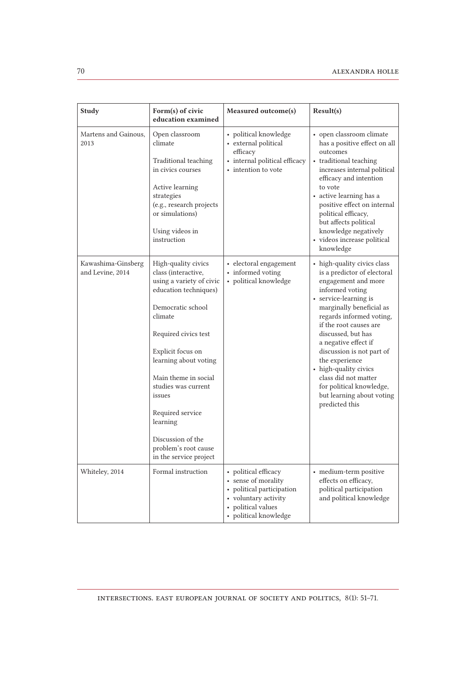| Study                                  | Form(s) of civic<br>education examined                                                                                                                                                                                                                                                                                                                                | Measured outcome(s)                                                                                                                           | Result(s)                                                                                                                                                                                                                                                                                                                                                                                                                                |
|----------------------------------------|-----------------------------------------------------------------------------------------------------------------------------------------------------------------------------------------------------------------------------------------------------------------------------------------------------------------------------------------------------------------------|-----------------------------------------------------------------------------------------------------------------------------------------------|------------------------------------------------------------------------------------------------------------------------------------------------------------------------------------------------------------------------------------------------------------------------------------------------------------------------------------------------------------------------------------------------------------------------------------------|
| Martens and Gainous,<br>2013           | Open classroom<br>climate<br>Traditional teaching<br>in civics courses<br>Active learning<br>strategies<br>(e.g., research projects<br>or simulations)<br>Using videos in<br>instruction                                                                                                                                                                              | • political knowledge<br>• external political<br>efficacy<br>• internal political efficacy<br>• intention to vote                             | • open classroom climate<br>has a positive effect on all<br>outcomes<br>• traditional teaching<br>increases internal political<br>efficacy and intention<br>to vote<br>• active learning has a<br>positive effect on internal<br>political efficacy,<br>but affects political<br>knowledge negatively<br>• videos increase political<br>knowledge                                                                                        |
| Kawashima-Ginsberg<br>and Levine, 2014 | High-quality civics<br>class (interactive,<br>using a variety of civic<br>education techniques)<br>Democratic school<br>climate<br>Required civics test<br>Explicit focus on<br>learning about voting<br>Main theme in social<br>studies was current<br>issues<br>Required service<br>learning<br>Discussion of the<br>problem's root cause<br>in the service project | • electoral engagement<br>• informed voting<br>• political knowledge                                                                          | • high-quality civics class<br>is a predictor of electoral<br>engagement and more<br>informed voting<br>• service-learning is<br>marginally beneficial as<br>regards informed voting,<br>if the root causes are<br>discussed, but has<br>a negative effect if<br>discussion is not part of<br>the experience<br>• high-quality civics<br>class did not matter<br>for political knowledge,<br>but learning about voting<br>predicted this |
| Whiteley, 2014                         | Formal instruction                                                                                                                                                                                                                                                                                                                                                    | • political efficacy<br>• sense of morality<br>political participation<br>• voluntary activity<br>• political values<br>• political knowledge | • medium-term positive<br>effects on efficacy,<br>political participation<br>and political knowledge                                                                                                                                                                                                                                                                                                                                     |